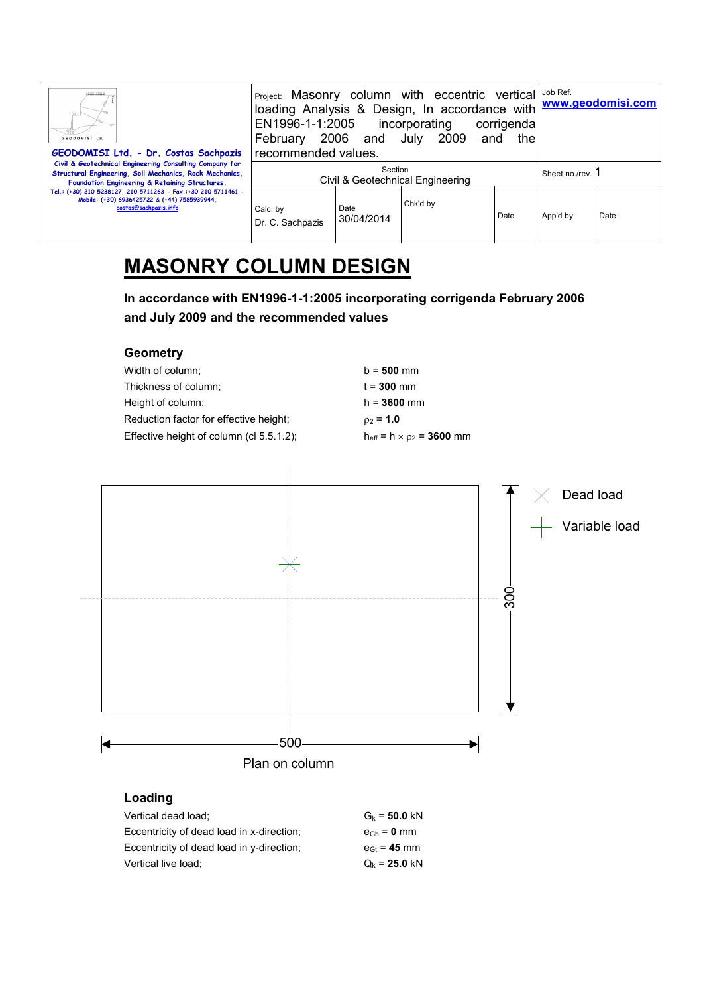| GEODOMISI Ltd.<br>GEODOMISI Ltd. - Dr. Costas Sachpazis                                                                                                              | Project: Masonry column with eccentric vertical Job Ref.<br>loading Analysis & Design, In accordance with www.geodomisi.com<br>EN1996-1-1:2005<br>incorporating<br>corrigenda<br>2006 and July 2009<br>February<br>the<br>and<br>recommended values. |                    |          |  |                  |          |      |
|----------------------------------------------------------------------------------------------------------------------------------------------------------------------|------------------------------------------------------------------------------------------------------------------------------------------------------------------------------------------------------------------------------------------------------|--------------------|----------|--|------------------|----------|------|
| Civil & Geotechnical Engineering Consulting Company for<br>Structural Engineering, Soil Mechanics, Rock Mechanics,<br>Foundation Engineering & Retaining Structures. | Section<br>Civil & Geotechnical Engineering                                                                                                                                                                                                          |                    |          |  | Sheet no./rev. 1 |          |      |
| Tel.: (+30) 210 5238127, 210 5711263 - Fax.:+30 210 5711461 -<br>Mobile: (+30) 6936425722 & (+44) 7585939944,<br>costas@sachpazis.info                               | Calc. by<br>Dr. C. Sachpazis                                                                                                                                                                                                                         | Date<br>30/04/2014 | Chk'd by |  | Date             | App'd by | Date |

## **MASONRY COLUMN DESIGN**

**In accordance with EN1996-1-1:2005 incorporating corrigenda February 2006 and July 2009 and the recommended values** 

| $b = 500$ mm                                 |
|----------------------------------------------|
| $t = 300$ mm                                 |
| $h = 3600$ mm                                |
| $_{02}$ = 1.0                                |
| $h_{\text{eff}} = h \times \rho_2 = 3600$ mm |
|                                              |



| Vertical dead load;                       | $G_k = 50.0$ kN  |
|-------------------------------------------|------------------|
| Eccentricity of dead load in x-direction; | $eGb = 0$ mm     |
| Eccentricity of dead load in y-direction; | $e_{Gt} = 45$ mm |
| Vertical live load;                       | $Q_k = 25.0$ kN  |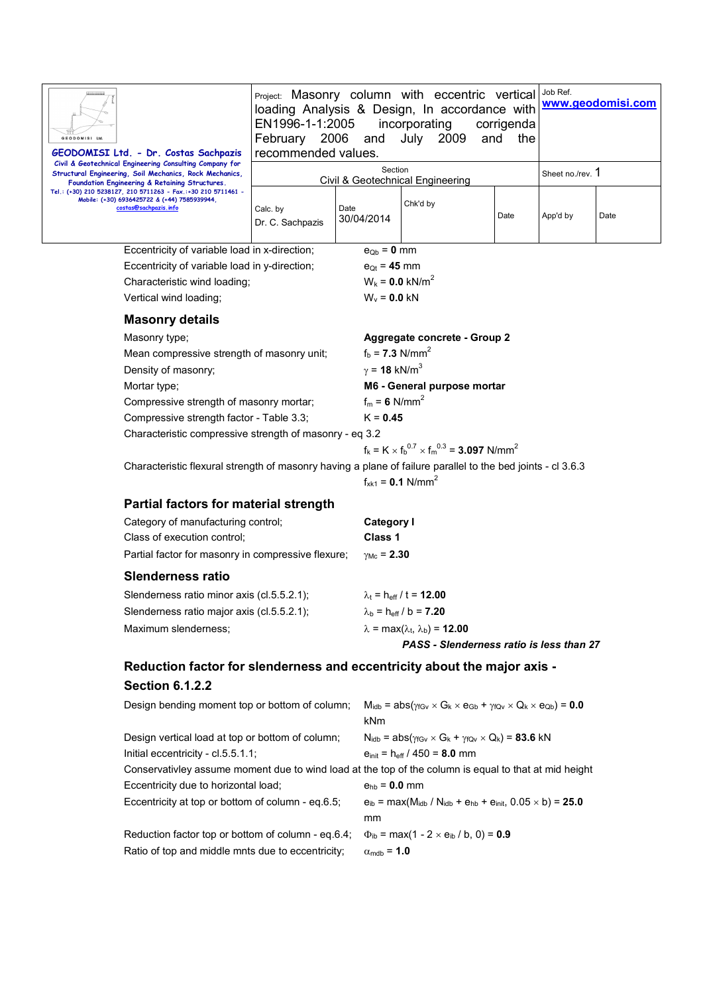| <b>GEODOMISI Ltd</b><br>GEODOMISI Ltd. - Dr. Costas Sachpazis                                                                                                   | Project: Masonry column with eccentric vertical<br>loading Analysis & Design, In accordance with<br>EN1996-1-1:2005<br>incorporating<br>corrigenda<br>February 2006<br>July 2009<br>and<br>and<br>the<br>recommended values. |                             |                                                                                                                    |      | Job Ref.<br>www.geodomisi.com |      |  |  |
|-----------------------------------------------------------------------------------------------------------------------------------------------------------------|------------------------------------------------------------------------------------------------------------------------------------------------------------------------------------------------------------------------------|-----------------------------|--------------------------------------------------------------------------------------------------------------------|------|-------------------------------|------|--|--|
| Civil & Geotechnical Engineering Consulting Company for<br>Structural Engineering, Soil Mechanics, Rock Mechanics,                                              |                                                                                                                                                                                                                              |                             | Section<br>Civil & Geotechnical Engineering                                                                        |      | Sheet no./rev. 1              |      |  |  |
| Foundation Engineering & Retaining Structures.<br>Tel.: (+30) 210 5238127, 210 5711263 - Fax.:+30 210 5711461 -<br>Mobile: (+30) 6936425722 & (+44) 7585939944, |                                                                                                                                                                                                                              |                             |                                                                                                                    |      |                               |      |  |  |
| costas@sachpazis.info                                                                                                                                           | Calc. by<br>Dr. C. Sachpazis                                                                                                                                                                                                 | Date<br>30/04/2014          | Chk'd by                                                                                                           | Date | App'd by                      | Date |  |  |
| Eccentricity of variable load in x-direction;                                                                                                                   |                                                                                                                                                                                                                              |                             | $e_{Ob} = 0$ mm                                                                                                    |      |                               |      |  |  |
| Eccentricity of variable load in y-direction;                                                                                                                   |                                                                                                                                                                                                                              |                             | $e_{Qt} = 45$ mm                                                                                                   |      |                               |      |  |  |
| Characteristic wind loading;                                                                                                                                    |                                                                                                                                                                                                                              |                             | $W_k = 0.0$ kN/m <sup>2</sup>                                                                                      |      |                               |      |  |  |
| Vertical wind loading;                                                                                                                                          |                                                                                                                                                                                                                              |                             | $W_v = 0.0$ kN                                                                                                     |      |                               |      |  |  |
| <b>Masonry details</b>                                                                                                                                          |                                                                                                                                                                                                                              |                             |                                                                                                                    |      |                               |      |  |  |
| Masonry type;                                                                                                                                                   |                                                                                                                                                                                                                              |                             | Aggregate concrete - Group 2                                                                                       |      |                               |      |  |  |
| Mean compressive strength of masonry unit;                                                                                                                      |                                                                                                                                                                                                                              |                             | $f_b = 7.3$ N/mm <sup>2</sup>                                                                                      |      |                               |      |  |  |
| Density of masonry;                                                                                                                                             |                                                                                                                                                                                                                              |                             | $\gamma$ = 18 kN/m <sup>3</sup>                                                                                    |      |                               |      |  |  |
| Mortar type;                                                                                                                                                    |                                                                                                                                                                                                                              |                             | M6 - General purpose mortar                                                                                        |      |                               |      |  |  |
| Compressive strength of masonry mortar;                                                                                                                         |                                                                                                                                                                                                                              |                             | $f_m = 6$ N/mm <sup>2</sup>                                                                                        |      |                               |      |  |  |
| Compressive strength factor - Table 3.3;                                                                                                                        |                                                                                                                                                                                                                              |                             | $K = 0.45$                                                                                                         |      |                               |      |  |  |
| Characteristic compressive strength of masonry - eq 3.2                                                                                                         |                                                                                                                                                                                                                              |                             | $f_k = K \times f_b^{0.7} \times f_m^{0.3} = 3.097$ N/mm <sup>2</sup>                                              |      |                               |      |  |  |
| Characteristic flexural strength of masonry having a plane of failure parallel to the bed joints - cl 3.6.3                                                     |                                                                                                                                                                                                                              |                             |                                                                                                                    |      |                               |      |  |  |
|                                                                                                                                                                 |                                                                                                                                                                                                                              |                             | $f_{xk1} = 0.1$ N/mm <sup>2</sup>                                                                                  |      |                               |      |  |  |
| Partial factors for material strength                                                                                                                           |                                                                                                                                                                                                                              |                             |                                                                                                                    |      |                               |      |  |  |
| Category of manufacturing control;                                                                                                                              |                                                                                                                                                                                                                              |                             | <b>Category I</b>                                                                                                  |      |                               |      |  |  |
| Class of execution control;                                                                                                                                     |                                                                                                                                                                                                                              | Class 1                     |                                                                                                                    |      |                               |      |  |  |
| Partial factor for masonry in compressive flexure;                                                                                                              |                                                                                                                                                                                                                              | $\gamma_{\text{Mc}} = 2.30$ |                                                                                                                    |      |                               |      |  |  |
| <b>Slenderness ratio</b>                                                                                                                                        |                                                                                                                                                                                                                              |                             |                                                                                                                    |      |                               |      |  |  |
| Slenderness ratio minor axis (cl.5.5.2.1);                                                                                                                      |                                                                                                                                                                                                                              |                             | $\lambda_t$ = h <sub>eff</sub> / t = <b>12.00</b>                                                                  |      |                               |      |  |  |
| Slenderness ratio major axis (cl.5.5.2.1);                                                                                                                      |                                                                                                                                                                                                                              |                             | $\lambda_{b}$ = h <sub>eff</sub> / b = <b>7.20</b>                                                                 |      |                               |      |  |  |
| Maximum slenderness;                                                                                                                                            |                                                                                                                                                                                                                              |                             | $\lambda$ = max( $\lambda_t$ , $\lambda_b$ ) = 12.00                                                               |      |                               |      |  |  |
|                                                                                                                                                                 |                                                                                                                                                                                                                              |                             | PASS - Slenderness ratio is less than 27                                                                           |      |                               |      |  |  |
| Reduction factor for slenderness and eccentricity about the major axis -                                                                                        |                                                                                                                                                                                                                              |                             |                                                                                                                    |      |                               |      |  |  |
| <b>Section 6.1.2.2</b>                                                                                                                                          |                                                                                                                                                                                                                              |                             |                                                                                                                    |      |                               |      |  |  |
| Design bending moment top or bottom of column;                                                                                                                  |                                                                                                                                                                                                                              |                             | $M_{\text{idb}} = abs(\gamma_{fGV} \times G_k \times e_{Gb} + \gamma_{fQv} \times Q_k \times e_{Qb}) = 0.0$<br>kNm |      |                               |      |  |  |
| Design vertical load at top or bottom of column;                                                                                                                |                                                                                                                                                                                                                              |                             | $N_{\text{idb}} = abs(\gamma_{fGv} \times G_k + \gamma_{fQv} \times Q_k) = 83.6$ kN                                |      |                               |      |  |  |
| Initial eccentricity - cl.5.5.1.1;                                                                                                                              |                                                                                                                                                                                                                              |                             | $e_{init} = h_{eff} / 450 = 8.0$ mm                                                                                |      |                               |      |  |  |
| Conservativley assume moment due to wind load at the top of the column is equal to that at mid height                                                           |                                                                                                                                                                                                                              |                             |                                                                                                                    |      |                               |      |  |  |
| Eccentricity due to horizontal load;                                                                                                                            |                                                                                                                                                                                                                              |                             | $e_{hb} = 0.0$ mm                                                                                                  |      |                               |      |  |  |
| Eccentricity at top or bottom of column - eq.6.5;                                                                                                               |                                                                                                                                                                                                                              | mm                          | $e_{ib}$ = max(M <sub>idb</sub> / N <sub>idb</sub> + $e_{hb}$ + $e_{init}$ , 0.05 $\times$ b) = <b>25.0</b>        |      |                               |      |  |  |
| Reduction factor top or bottom of column - eq.6.4;                                                                                                              |                                                                                                                                                                                                                              |                             | $\Phi_{\rm ib}$ = max(1 - 2 × e <sub>ib</sub> / b, 0) = <b>0.9</b>                                                 |      |                               |      |  |  |

Ratio of top and middle mnts due to eccentricity;  $\alpha_{\text{mdb}} = 1.0$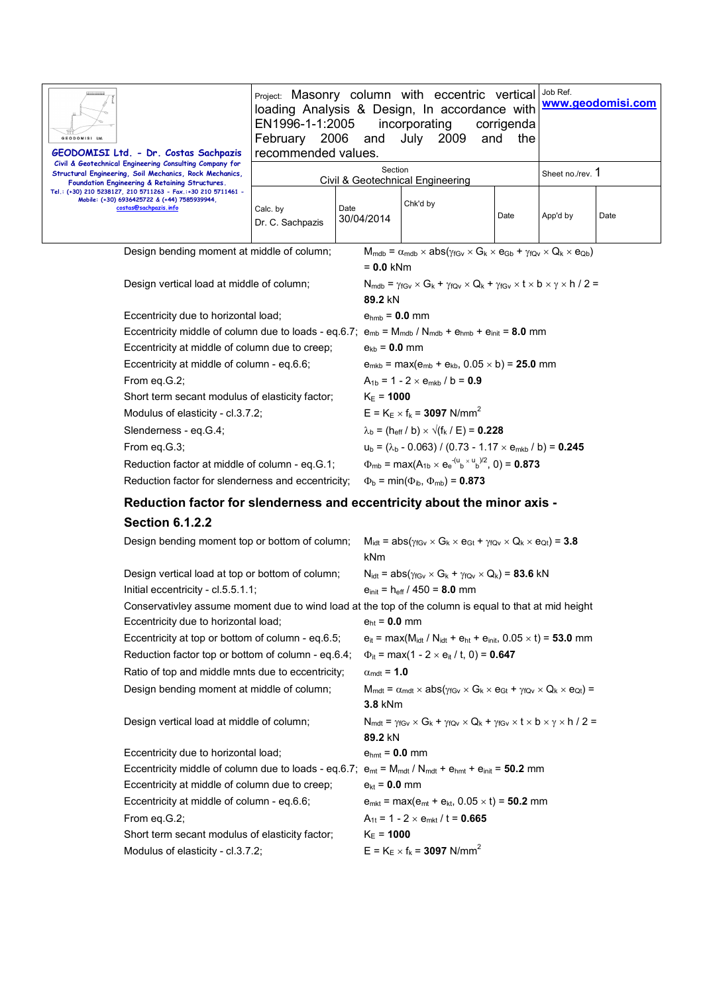| <b>GEODOMISI Ltd</b><br>GEODOMISI Ltd. - Dr. Costas Sachpazis                                                                                                                                                                                                                                                  | EN1996-1-1:2005 incorporating<br>February 2006 and July 2009<br>recommended values. |                    | Project: Masonry column with eccentric vertical   Job Ref.<br>loading Analysis & Design, In accordance with www.geodomisi.com | corrigenda<br>the<br>and |                  |      |
|----------------------------------------------------------------------------------------------------------------------------------------------------------------------------------------------------------------------------------------------------------------------------------------------------------------|-------------------------------------------------------------------------------------|--------------------|-------------------------------------------------------------------------------------------------------------------------------|--------------------------|------------------|------|
| Civil & Geotechnical Engineering Consulting Company for<br>Structural Engineering, Soil Mechanics, Rock Mechanics,<br>Foundation Engineering & Retaining Structures.<br>Tel.: (+30) 210 5238127, 210 5711263 - Fax.:+30 210 5711461 -<br>Mobile: (+30) 6936425722 & (+44) 7585939944.<br>costas@sachpazis.info | Section<br>Civil & Geotechnical Engineering                                         |                    |                                                                                                                               |                          | Sheet no./rev. 1 |      |
|                                                                                                                                                                                                                                                                                                                | Calc. by<br>Dr. C. Sachpazis                                                        | Date<br>30/04/2014 | Chk'd by                                                                                                                      | Date                     | App'd by         | Date |
| $M_{mdb} = \alpha_{mdb} \times abs(\gamma_{fGV} \times G_k \times e_{Gb} + \gamma_{fQv} \times Q_k \times e_{Qb})$<br>Design bending moment at middle of column;                                                                                                                                               |                                                                                     |                    |                                                                                                                               |                          |                  |      |
|                                                                                                                                                                                                                                                                                                                | $= 0.0$ kNm                                                                         |                    |                                                                                                                               |                          |                  |      |

| Design vertical load at middle of column;                                                                       | $N_{\text{mdb}} = \gamma_{fGV} \times G_k + \gamma_{fOV} \times Q_k + \gamma_{fGV} \times t \times b \times \gamma \times h / 2 =$<br>89.2 kN |
|-----------------------------------------------------------------------------------------------------------------|-----------------------------------------------------------------------------------------------------------------------------------------------|
| Eccentricity due to horizontal load;                                                                            | $e_{\text{hmb}} = 0.0$ mm                                                                                                                     |
| Eccentricity middle of column due to loads - eq.6.7; $e_{mb} = M_{mdb} / N_{mdb} + e_{hmb} + e_{init} = 8.0$ mm |                                                                                                                                               |
| Eccentricity at middle of column due to creep;                                                                  | $e_{kb} = 0.0$ mm                                                                                                                             |
| Eccentricity at middle of column - eq.6.6;                                                                      | $e_{mkb}$ = max( $e_{mb}$ + $e_{kb}$ , 0.05 $\times$ b) = <b>25.0</b> mm                                                                      |
| From eq.G.2;                                                                                                    | $A_{1h} = 1 - 2 \times e_{mkh} / b = 0.9$                                                                                                     |
| Short term secant modulus of elasticity factor;                                                                 | $K_F = 1000$                                                                                                                                  |
| Modulus of elasticity - cl.3.7.2;                                                                               | $E = K_F \times f_k = 3097$ N/mm <sup>2</sup>                                                                                                 |
| Slenderness - eq.G.4;                                                                                           | $\lambda_{\rm b}$ = (h <sub>eff</sub> / b) × $\sqrt{(f_k / E)}$ = 0.228                                                                       |
| From eq. $G.3$ ;                                                                                                | $u_b = (\lambda_b - 0.063) / (0.73 - 1.17 \times e_{mkb} / b) = 0.245$                                                                        |
| Reduction factor at middle of column - eq.G.1;                                                                  | $\Phi_{mb}$ = max(A <sub>1b</sub> × e <sub>e</sub> <sup>-(u</sup> <sub>b</sub> × u <sub>b</sub> )/2, 0) = <b>0.873</b>                        |
| Reduction factor for slenderness and eccentricity;                                                              | $\Phi_{\rm b}$ = min( $\Phi_{\rm ib}$ , $\Phi_{\rm mb}$ ) = 0.873                                                                             |

## **Reduction factor for slenderness and eccentricity about the minor axis -**

## **Section 6.1.2.2**

| Design bending moment top or bottom of column;                                                                 | $M_{\text{idt}} = abs(\gamma_{fGv} \times G_k \times e_{Gt} + \gamma_{fOv} \times Q_k \times e_{Ot}) = 3.8$<br>kNm                                      |
|----------------------------------------------------------------------------------------------------------------|---------------------------------------------------------------------------------------------------------------------------------------------------------|
| Design vertical load at top or bottom of column;                                                               | $N_{\text{idt}} = abs(\gamma_{fGv} \times G_k + \gamma_{fQv} \times Q_k) = 83.6$ kN                                                                     |
| Initial eccentricity - $cl.5.5.1.1$ ;                                                                          | $e_{init} = h_{eff} / 450 = 8.0$ mm                                                                                                                     |
| Conservativley assume moment due to wind load at the top of the column is equal to that at mid height          |                                                                                                                                                         |
| Eccentricity due to horizontal load;                                                                           | $e_{\rm ht} = 0.0$ mm                                                                                                                                   |
| Eccentricity at top or bottom of column - eq.6.5;                                                              | $e_{it}$ = max(M <sub>idt</sub> / N <sub>idt</sub> + $e_{ht}$ + $e_{init}$ , 0.05 $\times$ t) = <b>53.0</b> mm                                          |
| Reduction factor top or bottom of column - eq.6.4;                                                             | $\Phi_{it}$ = max(1 - 2 × e <sub>it</sub> / t, 0) = <b>0.647</b>                                                                                        |
| Ratio of top and middle mnts due to eccentricity;                                                              | $\alpha_{\text{mdt}} = 1.0$                                                                                                                             |
| Design bending moment at middle of column;                                                                     | $M_{\text{mdt}} = \alpha_{\text{mdt}} \times abs(\gamma_{fGV} \times G_k \times e_{Gt} + \gamma_{fQV} \times Q_k \times e_{Qt}) =$                      |
|                                                                                                                | <b>3.8 kNm</b>                                                                                                                                          |
| Design vertical load at middle of column;                                                                      | $N_{\text{mdt}} = \gamma_{\text{fGv}} \times G_k + \gamma_{\text{fQv}} \times Q_k + \gamma_{\text{fGv}} \times t \times b \times \gamma \times h / 2 =$ |
|                                                                                                                | 89.2 kN                                                                                                                                                 |
| Eccentricity due to horizontal load;                                                                           | $e_{\text{hmt}} = 0.0$ mm                                                                                                                               |
| Eccentricity middle of column due to loads - eq.6.7; $e_{mt} = M_{mdt}/N_{mdt} + e_{bmt} + e_{init} = 50.2$ mm |                                                                                                                                                         |
| Eccentricity at middle of column due to creep;                                                                 | $e_{kt} = 0.0$ mm                                                                                                                                       |
| Eccentricity at middle of column - eq.6.6;                                                                     | $e_{mkt}$ = max( $e_{mt}$ + $e_{kt}$ , 0.05 $\times$ t) = <b>50.2</b> mm                                                                                |
| From eq.G.2;                                                                                                   | $A_{1t} = 1 - 2 \times e_{mkt} / t = 0.665$                                                                                                             |
| Short term secant modulus of elasticity factor;                                                                | $K_{E} = 1000$                                                                                                                                          |
| Modulus of elasticity - cl.3.7.2;                                                                              | $E = K_E \times f_k = 3097$ N/mm <sup>2</sup>                                                                                                           |